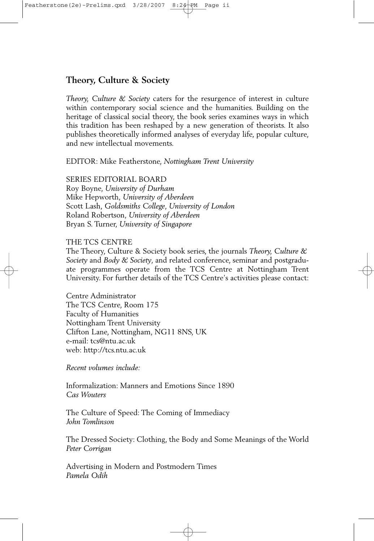### **Theory, Culture & Society**

*Theory, Culture & Society* caters for the resurgence of interest in culture within contemporary social science and the humanities. Building on the heritage of classical social theory, the book series examines ways in which this tradition has been reshaped by a new generation of theorists. It also publishes theoretically informed analyses of everyday life, popular culture, and new intellectual movements.

EDITOR: Mike Featherstone, *Nottingham Trent University*

#### SERIES EDITORIAL BOARD

Roy Boyne, *University of Durham* Mike Hepworth, *University of Aberdeen* Scott Lash, *Goldsmiths College*, *University of London* Roland Robertson, *University of Aberdeen* Bryan S. Turner, *University of Singapore*

#### THE TCS CENTRE

The Theory, Culture & Society book series, the journals *Theory, Culture & Society* and *Body & Society*, and related conference, seminar and postgraduate programmes operate from the TCS Centre at Nottingham Trent University. For further details of the TCS Centre's activities please contact:

Centre Administrator The TCS Centre, Room 175 Faculty of Humanities Nottingham Trent University Clifton Lane, Nottingham, NG11 8NS, UK e-mail: tcs@ntu.ac.uk web: http://tcs.ntu.ac.uk

*Recent volumes include:*

Informalization: Manners and Emotions Since 1890 *Cas Wouters*

The Culture of Speed: The Coming of Immediacy *John Tomlinson*

The Dressed Society: Clothing, the Body and Some Meanings of the World *Peter Corrigan*

Advertising in Modern and Postmodern Times *Pamela Odih*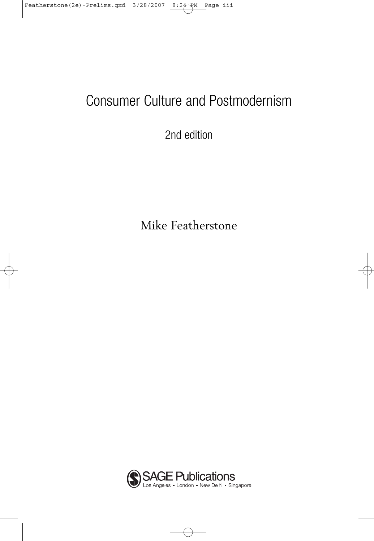2nd edition

Mike Featherstone

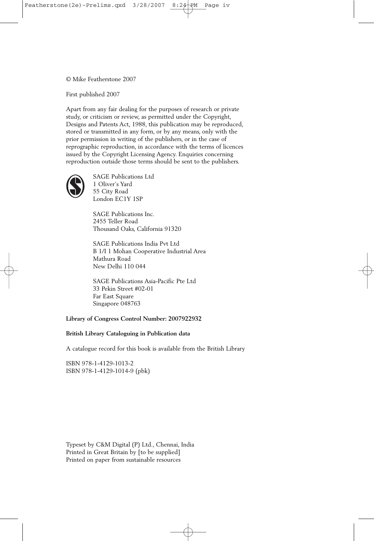© Mike Featherstone 2007

First published 2007

Apart from any fair dealing for the purposes of research or private study, or criticism or review, as permitted under the Copyright, Designs and Patents Act, 1988, this publication may be reproduced, stored or transmitted in any form, or by any means, only with the prior permission in writing of the publishers, or in the case of reprographic reproduction, in accordance with the terms of licences issued by the Copyright Licensing Agency. Enquiries concerning reproduction outside those terms should be sent to the publishers.



SAGE Publications Ltd 1 Oliver's Yard 55 City Road London EC1Y 1SP

SAGE Publications Inc. 2455 Teller Road Thousand Oaks, California 91320

SAGE Publications India Pvt Ltd B 1/I 1 Mohan Cooperative Industrial Area Mathura Road New Delhi 110 044

SAGE Publications Asia-Pacific Pte Ltd 33 Pekin Street #02-01 Far East Square Singapore 048763

#### **Library of Congress Control Number: 2007922932**

#### **British Library Cataloguing in Publication data**

A catalogue record for this book is available from the British Library

ISBN 978-1-4129-1013-2 ISBN 978-1-4129-1014-9 (pbk)

Typeset by C&M Digital (P) Ltd., Chennai, India Printed in Great Britain by [to be supplied] Printed on paper from sustainable resources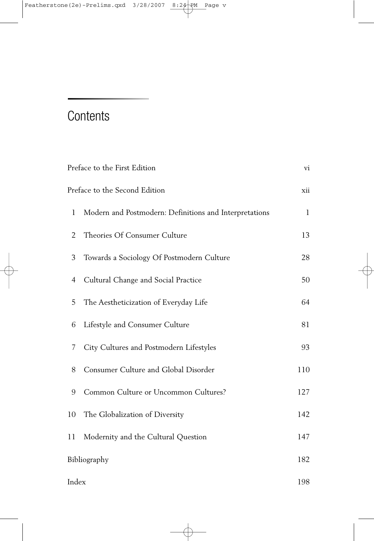# **Contents**

| Preface to the First Edition  |                                                        | vi  |
|-------------------------------|--------------------------------------------------------|-----|
| Preface to the Second Edition |                                                        | xii |
| 1                             | Modern and Postmodern: Definitions and Interpretations | 1   |
| $\overline{2}$                | Theories Of Consumer Culture                           | 13  |
| 3                             | Towards a Sociology Of Postmodern Culture              | 28  |
| 4                             | Cultural Change and Social Practice                    | 50  |
| 5                             | The Aestheticization of Everyday Life                  | 64  |
| 6                             | Lifestyle and Consumer Culture                         | 81  |
| 7                             | City Cultures and Postmodern Lifestyles                | 93  |
| 8                             | Consumer Culture and Global Disorder                   | 110 |
| 9                             | Common Culture or Uncommon Cultures?                   | 127 |
| 10                            | The Globalization of Diversity                         | 142 |
| 11                            | Modernity and the Cultural Question                    | 147 |
| Bibliography                  |                                                        | 182 |
| Index                         |                                                        | 198 |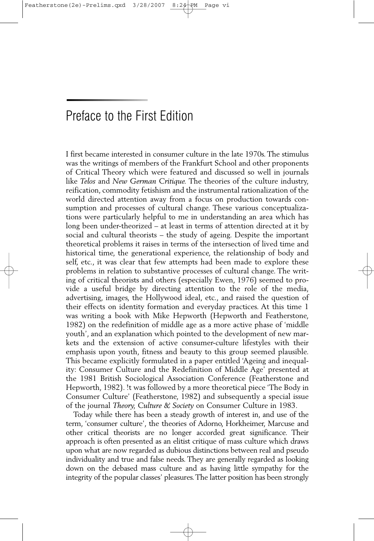### Preface to the First Edition

I first became interested in consumer culture in the late 1970s. The stimulus was the writings of members of the Frankfurt School and other proponents of Critical Theory which were featured and discussed so well in journals like *Telos* and *New German Critique.* The theories of the culture industry, reification, commodity fetishism and the instrumental rationalization of the world directed attention away from a focus on production towards consumption and processes of cultural change. These various conceptualizations were particularly helpful to me in understanding an area which has long been under-theorized – at least in terms of attention directed at it by social and cultural theorists – the study of ageing. Despite the important theoretical problems it raises in terms of the intersection of lived time and historical time, the generational experience, the relationship of body and self, etc., it was clear that few attempts had been made to explore these problems in relation to substantive processes of cultural change. The writing of critical theorists and others (especially Ewen, 1976) seemed to provide a useful bridge by directing attention to the role of the media, advertising, images, the Hollywood ideal, etc., and raised the question of their effects on identity formation and everyday practices. At this time 1 was writing a book with Mike Hepworth (Hepworth and Featherstone, 1982) on the redefinition of middle age as a more active phase of 'middle youth', and an explanation which pointed to the development of new markets and the extension of active consumer-culture lifestyles with their emphasis upon youth, fitness and beauty to this group seemed plausible. This became explicitly formulated in a paper entitled 'Ageing and inequality: Consumer Culture and the Redefinition of Middle Age' presented at the 1981 British Sociological Association Conference (Featherstone and Hepworth, 1982). !t was followed by a more theoretical piece 'The Body in Consumer Culture' (Featherstone, 1982) and subsequently a special issue of the journal *Theory, Culture & Society* on Consumer Culture in 1983.

Today while there has been a steady growth of interest in, and use of the term, 'consumer culture', the theories of Adorno, Horkheimer, Marcuse and other critical theorists are no longer accorded great significance. Their approach is often presented as an elitist critique of mass culture which draws upon what are now regarded as dubious distinctions between real and pseudo individuality and true and false needs. They are generally regarded as looking down on the debased mass culture and as having little sympathy for the integrity of the popular classes' pleasures.The latter position has been strongly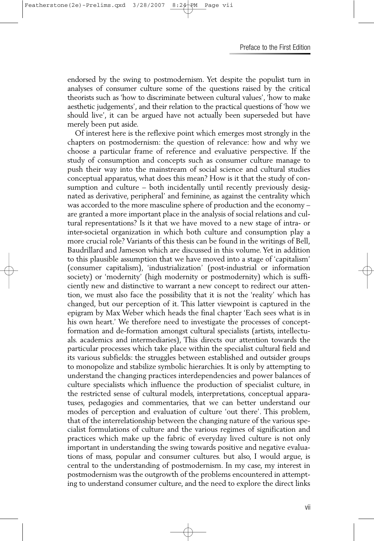endorsed by the swing to postmodernism. Yet despite the populist turn in analyses of consumer culture some of the questions raised by the critical theorists such as 'how to discriminate between cultural values', 'how to make aesthetic judgements', and their relation to the practical questions of 'how we should live', it can be argued have not actually been superseded but have merely been put aside.

Of interest here is the reflexive point which emerges most strongly in the chapters on postmodernism: the question of relevance: how and why we choose a particular frame of reference and evaluative perspective. If the study of consumption and concepts such as consumer culture manage to push their way into the mainstream of social science and cultural studies conceptual apparatus, what does this mean? How is it that the study of consumption and culture – both incidentally until recently previously designated as derivative, peripheral' and feminine, as against the centrality which was accorded to the more masculine sphere of production and the economy – are granted a more important place in the analysis of social relations and cultural representations? Is it that we have moved to a new stage of intra- or inter-societal organization in which both culture and consumption play a more crucial role? Variants of this thesis can be found in the writings of Bell, Baudrillard and Jameson which are discussed in this volume. Yet in addition to this plausible assumption that we have moved into a stage of 'capitalism' (consumer capitalism), 'industrialization' (post-industrial or information society) or 'modernity' (high modernity or postmodernity) which is sufficiently new and distinctive to warrant a new concept to redirect our attention, we must also face the possibility that it is not the 'reality' which has changed, but our perception of it. This latter viewpoint is captured in the epigram by Max Weber which heads the final chapter 'Each sees what is in his own heart.' We therefore need to investigate the processes of conceptformation and de-formation amongst cultural specialists (artists, intellectuals. academics and intermediaries), This directs our attention towards the particular processes which take place within the specialist cultural field and its various subfields: the struggles between established and outsider groups to monopolize and stabilize symbolic hierarchies. It is only by attempting to understand the changing practices interdependencies and power balances of culture specialists which influence the production of specialist culture, in the restricted sense of cultural models, interpretations, conceptual apparatuses, pedagogies and commentaries, that we can better understand our modes of perception and evaluation of culture 'out there'. This problem, that of the interrelationship between the changing nature of the various specialist formulations of culture and the various regimes of signification and practices which make up the fabric of everyday lived culture is not only important in understanding the swing towards positive and negative evaluations of mass, popular and consumer cultures. but also, I would argue, is central to the understanding of postmodernism. In my case, my interest in postmodernism was the outgrowth of the problems encountered in attempting to understand consumer culture, and the need to explore the direct links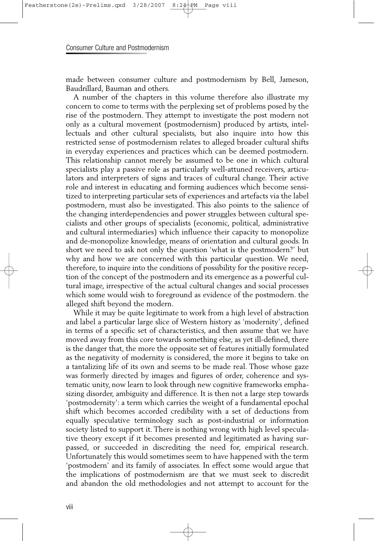made between consumer culture and postmodernism by Bell, Jameson, Baudrillard, Bauman and others.

A number of the chapters in this volume therefore also illustrate my concern to come to terms with the perplexing set of problems posed by the rise of the postmodern. They attempt to investigate the post modern not only as a cultural movement (postmodernism) produced by artists, intellectuals and other cultural specialists, but also inquire into how this restricted sense of postmodernism relates to alleged broader cultural shifts in everyday experiences and practices which can be deemed postmodern. This relationship cannot merely be assumed to be one in which cultural specialists play a passive role as particularly well-attuned receivers, articulators and interpreters of signs and traces of cultural change. Their active role and interest in educating and forming audiences which become sensitized to interpreting particular sets of experiences and artefacts via the label postmodern, must also be investigated. This also points to the salience of the changing interdependencies and power struggles between cultural specialists and other groups of specialists (economic, political, administrative and cultural intermediaries) which influence their capacity to monopolize and de-monopolize knowledge, means of orientation and cultural goods. In short we need to ask not only the question 'what is the postmodern?' but why and how we are concerned with this particular question. We need, therefore, to inquire into the conditions of possibility for the positive reception of the concept of the postmodern and its emergence as a powerful cultural image, irrespective of the actual cultural changes and social processes which some would wish to foreground as evidence of the postmodern. the alleged shift beyond the modern.

While it may be quite legitimate to work from a high level of abstraction and label a particular large slice of Western history as 'modernity', defined in terms of a specific set of characteristics, and then assume that we have moved away from this core towards something else, as yet ill-defined, there is the danger that, the more the opposite set of features initially formulated as the negativity of modernity is considered, the more it begins to take on a tantalizing life of its own and seems to be made real. Those whose gaze was formerly directed by images and figures of order, coherence and systematic unity, now learn to look through new cognitive frameworks emphasizing disorder, ambiguity and difference. It is then not a large step towards 'postmodernity': a term which carries the weight of a fundamental epochal shift which becomes accorded credibility with a set of deductions from equally speculative terminology such as post-industrial or information society listed to support it. There is nothing wrong with high level speculative theory except if it becomes presented and legitimated as having surpassed, or succeeded in discrediting the need for, empirical research. Unfortunately this would sometimes seem to have happened with the term 'postmodern' and its family of associates. In effect some would argue that the implications of postmodernism are that we must seek to discredit and abandon the old methodologies and not attempt to account for the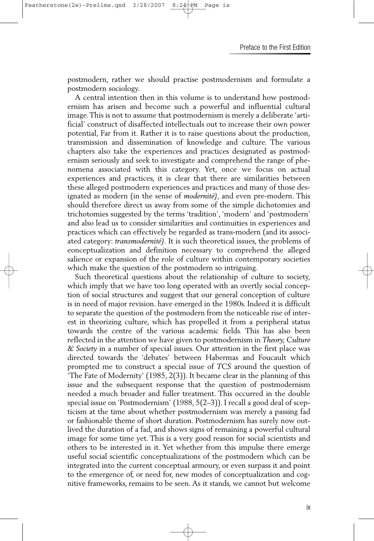postmodern, rather we should practise postmodernism and formulate a postmodern sociology.

A central intention then in this volume is to understand how postmodernism has arisen and become such a powerful and influential cultural image.This is not to assume that postmodernism is merely a deliberate 'artificial' construct of disaffected intellectuals out to increase their own power potential, Far from it. Rather it is to raise questions about the production, transmission and dissemination of knowledge and culture. The various chapters also take the experiences and practices designated as postmodernism seriously and seek to investigate and comprehend the range of phenomena associated with this category. Yet, once we focus on actual experiences and practices, it is clear that there are similarities between these alleged postmodern experiences and practices and many of those designated as modern (in the sense of *modernité),* and even pre-modern. This should therefore direct us away from some of the simple dichotomies and trichotomies suggested by the terms 'tradition', 'modern' and 'postmodern' and also lead us to consider similarities and continuities in experiences and practices which can effectively be regarded as trans-modern (and its associated category: *transmodernité).* It is such theoretical issues, the problems of eonceptualization and definition necessary to comprehend the alleged salience or expansion of the role of culture within contemporary societies which make the question of the postmodern so intriguing.

Such theoretical questions about the relationship of culture to society, which imply that we have too long operated with an overtly social conception of social structures and suggest that our general conception of culture is in need of major revision. have emerged in the 1980s. Indeed it is difficult to separate the question of the postmodern from the noticeable rise of interest in theorizing culture, which has propelled it from a peripheral status towards the centre of the various academic fields. This has also been reflected in the attention we have given to postmodernism in *Theory, Culture & Society* in a number of special issues. Our attention in the first place was directed towards the 'debates' between Habermas and Foucault which prompted me to construct a special issue of *TCS* around the question of 'The Fate of Modernity' (1985, 2(3)). It became clear in the planning of this issue and the subsequent response that the question of postmodernism needed a much broader and fuller treatment. This occurred in the double special issue on 'Postmodernism' (1988, 5(2–3)). I recall a good deal of scepticism at the time about whether postmodernism was merely a passing fad or fashionable theme of short duration. Postmodernism has surely now outlived the duration of a fad, and shows signs of remaining a powerful cultural image for some time yet. This is a very good reason for social scientists and others to be interested in it. Yet whether from this impulse there emerge useful social scientific conceptualizations of the postmodern which can be integrated into the current conceptual armoury, or even surpass it and point to the emergence of, or need for, new modes of conceptualization and cognitive frameworks, remains to be seen. As it stands, we cannot but welcome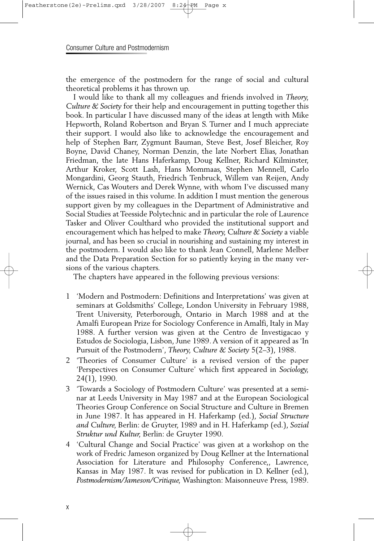the emergence of the postmodern for the range of social and cultural theoretical problems it has thrown up.

I would like to thank all my colleagues and friends involved in *Theory, Culture & Society* for their help and encouragement in putting together this book. In particular I have discussed many of the ideas at length with Mike Hepworth, Roland Robertson and Bryan S. Turner and I much appreciate their support. I would also like to acknowledge the encouragement and help of Stephen Barr, Zygmunt Bauman, Steve Best, Josef Bleicher, Roy Boyne, David Chaney, Norman Denzin, the late Norbert Elias, Jonathan Friedman, the late Hans Haferkamp, Doug Kellner, Richard Kilminster, Arthur Kroker, Scott Lash, Hans Mommaas, Stephen Mennell, Carlo Mongardini, Georg Stauth, Friedrich Tenbruck, Willem van Reijen, Andy Wernick, Cas Wouters and Derek Wynne, with whom I've discussed many of the issues raised in this volume. In addition I must mention the generous support given by my colleagues in the Department of Administrative and Social Studies at Teesside Polytechnic and in particular the role of Laurence Tasker and Oliver Coulthard who provided the institutional support and encouragement which has helped to make *Theory, Culture & Society* a viable journal, and has been so crucial in nourishing and sustaining my interest in the postmodern. I would also like to thank Jean Connell, Marlene Melber and the Data Preparation Section for so patiently keying in the many versions of the various chapters.

The chapters have appeared in the following previous versions:

- 1 'Modern and Postmodern: Definitions and Interpretations' was given at seminars at Goldsmiths' College, London University in February 1988, Trent University, Peterborough, Ontario in March 1988 and at the Amalfi European Prize for Sociology Conference in Amalfi, Italy in May 1988. A further version was given at the Centro de Investigacao y Estudos de Sociologia, Lisbon, June 1989. A version of it appeared as 'In Pursuit of the Postmodern', *Theory, Culture & Society* 5(2–3), 1988.
- 2 'Theories of Consumer Culture' is a revised version of the paper 'Perspectives on Consumer Culture' which first appeared in *Sociology,* 24(1), 1990.
- 3 'Towards a Sociology of Postmodern Culture' was presented at a seminar at Leeds University in May 1987 and at the European Sociological Theories Group Conference on Social Structure and Culture in Bremen in June 1987. It has appeared in H. Haferkamp (ed.), *Social Structure and Culture,* Berlin: de Gruyter, 1989 and in H. Haferkamp (ed.), *Sozial Struktur und Kultur,* Berlin: de Gruyter 1990.
- 4 'Cultural Change and Social Practice' was given at a workshop on the work of Fredric Jameson organized by Doug Kellner at the International Association for Literature and Philosophy Conference,, Lawrence, Kansas in May 1987. It was revised for publication in D. Kellner (ed.), *Postmodernism/Jameson/Critique,* Washington: Maisonneuve Press, 1989.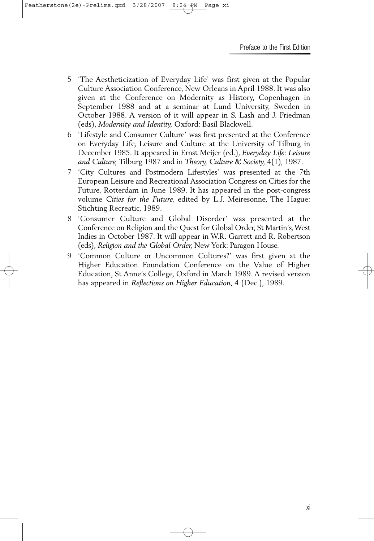- 5 'The Aestheticization of Everyday Life' was first given at the Popular Culture Association Conference, New Orleans in April 1988. It was also given at the Conference on Modernity as History, Copenhagen in September 1988 and at a seminar at Lund University, Sweden in October 1988. A version of it will appear in S. Lash and J. Friedman (eds), *Modernity and Identity,* Oxford: Basil Blackwell.
- 6 'Lifestyle and Consumer Culture' was first presented at the Conference on Everyday Life, Leisure and Culture at the University of Tilburg in December 1985. It appeared in Ernst Meijer (ed.), *Everyday Life: Leisure and Culture,* Tilburg 1987 and in *Theory, Culture & Society,* 4(1), 1987.
- 7 'City Cultures and Postmodern Lifestyles' was presented at the 7th European Leisure and Recreational Association Congress on Cities for the Future, Rotterdam in June 1989. It has appeared in the post-congress volume *Cities for the Future,* edited by L.J. Meiresonne, The Hague: Stichting Recreatic, 1989.
- 8 'Consumer Culture and Global Disorder' was presented at the Conference on Religion and the Quest for Global Order, St Martin's, West Indies in October 1987. It will appear in W.R. Garrett and R. Robertson (eds), *Religion and the Global Order,* New York: Paragon House.
- 9 'Common Culture or Uncommon Cultures?' was first given at the Higher Education Foundation Conference on the Value of Higher Education, St Anne's College, Oxford in March 1989. A revised version has appeared in *Reflections on Higher Education,* 4 (Dec.), 1989.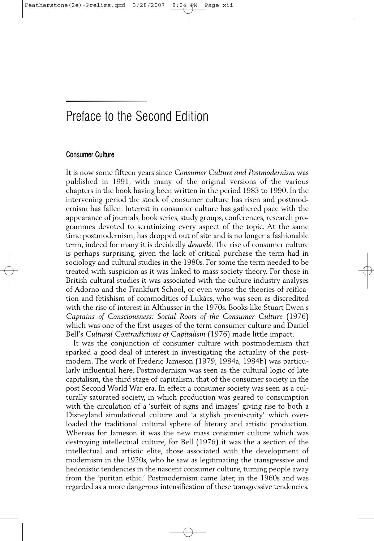#### Consumer Culture

It is now some fifteen years since *Consumer Culture and Postmodernism* was published in 1991, with many of the original versions of the various chapters in the book having been written in the period 1983 to 1990. In the intervening period the stock of consumer culture has risen and postmodernism has fallen. Interest in consumer culture has gathered pace with the appearance of journals, book series, study groups, conferences, research programmes devoted to scrutinizing every aspect of the topic. At the same time postmodernism, has dropped out of site and is no longer a fashionable term, indeed for many it is decidedly *demodé*. The rise of consumer culture is perhaps surprising, given the lack of critical purchase the term had in sociology and cultural studies in the 1980s. For some the term needed to be treated with suspicion as it was linked to mass society theory. For those in British cultural studies it was associated with the culture industry analyses of Adorno and the Frankfurt School, or even worse the theories of reification and fetishism of commodities of Lukács, who was seen as discredited with the rise of interest in Althusser in the 1970s. Books like Stuart Ewen's *Captains of Consciousness: Social Roots of the Consumer Culture* (1976) which was one of the first usages of the term consumer culture and Daniel Bell's *Cultural Contradictions of Capitalism* (1976) made little impact.

It was the conjunction of consumer culture with postmodernism that sparked a good deal of interest in investigating the actuality of the postmodern. The work of Frederic Jameson (1979, 1984a, 1984b) was particularly influential here. Postmodernism was seen as the cultural logic of late capitalism, the third stage of capitalism, that of the consumer society in the post Second World War era. In effect a consumer society was seen as a culturally saturated society, in which production was geared to consumption with the circulation of a 'surfeit of signs and images' giving rise to both a Disneyland simulational culture and 'a stylish promiscuity' which overloaded the traditional cultural sphere of literary and artistic production. Whereas for Jameson it was the new mass consumer culture which was destroying intellectual culture, for Bell (1976) it was the a section of the intellectual and artistic elite, those associated with the development of modernism in the 1920s, who he saw as legitimating the transgressive and hedonistic tendencies in the nascent consumer culture, turning people away from the 'puritan ethic.' Postmodernism came later, in the 1960s and was regarded as a more dangerous intensification of these transgressive tendencies.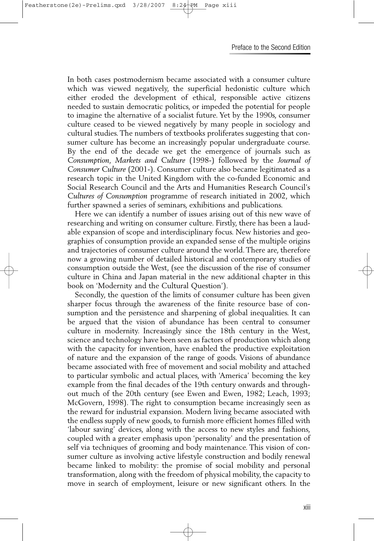In both cases postmodernism became associated with a consumer culture which was viewed negatively, the superficial hedonistic culture which either eroded the development of ethical, responsible active citizens needed to sustain democratic politics, or impeded the potential for people to imagine the alternative of a socialist future. Yet by the 1990s, consumer culture ceased to be viewed negatively by many people in sociology and cultural studies. The numbers of textbooks proliferates suggesting that consumer culture has become an increasingly popular undergraduate course. By the end of the decade we get the emergence of journals such as *Consumption, Markets and Culture* (1998-) followed by the *Journal of Consumer Culture* (2001-). Consumer culture also became legitimated as a research topic in the United Kingdom with the co-funded Economic and Social Research Council and the Arts and Humanities Research Council's *Cultures of Consumption* programme of research initiated in 2002, which further spawned a series of seminars, exhibitions and publications.

Here we can identify a number of issues arising out of this new wave of researching and writing on consumer culture. Firstly, there has been a laudable expansion of scope and interdisciplinary focus. New histories and geographies of consumption provide an expanded sense of the multiple origins and trajectories of consumer culture around the world. There are, therefore now a growing number of detailed historical and contemporary studies of consumption outside the West, (see the discussion of the rise of consumer culture in China and Japan material in the new additional chapter in this book on 'Modernity and the Cultural Question').

Secondly, the question of the limits of consumer culture has been given sharper focus through the awareness of the finite resource base of consumption and the persistence and sharpening of global inequalities. It can be argued that the vision of abundance has been central to consumer culture in modernity. Increasingly since the 18th century in the West, science and technology have been seen as factors of production which along with the capacity for invention, have enabled the productive exploitation of nature and the expansion of the range of goods. Visions of abundance became associated with free of movement and social mobility and attached to particular symbolic and actual places, with 'America' becoming the key example from the final decades of the 19th century onwards and throughout much of the 20th century (see Ewen and Ewen, 1982; Leach, 1993; McGovern, 1998). The right to consumption became increasingly seen as the reward for industrial expansion. Modern living became associated with the endless supply of new goods, to furnish more efficient homes filled with 'labour saving' devices, along with the access to new styles and fashions, coupled with a greater emphasis upon 'personality' and the presentation of self via techniques of grooming and body maintenance. This vision of consumer culture as involving active lifestyle construction and bodily renewal became linked to mobility: the promise of social mobility and personal transformation, along with the freedom of physical mobility, the capacity to move in search of employment, leisure or new significant others. In the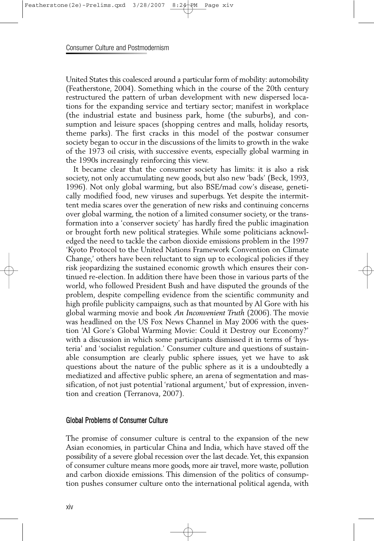United States this coalesced around a particular form of mobility: automobility (Featherstone, 2004). Something which in the course of the 20th century restructured the pattern of urban development with new dispersed locations for the expanding service and tertiary sector; manifest in workplace (the industrial estate and business park, home (the suburbs), and consumption and leisure spaces (shopping centres and malls, holiday resorts, theme parks). The first cracks in this model of the postwar consumer society began to occur in the discussions of the limits to growth in the wake of the 1973 oil crisis, with successive events, especially global warming in the 1990s increasingly reinforcing this view.

It became clear that the consumer society has limits: it is also a risk society, not only accumulating new goods, but also new 'bads' (Beck, 1993, 1996). Not only global warming, but also BSE/mad cow's disease, genetically modified food, new viruses and superbugs. Yet despite the intermittent media scares over the generation of new risks and continuing concerns over global warming, the notion of a limited consumer society, or the transformation into a 'conserver society' has hardly fired the public imagination or brought forth new political strategies. While some politicians acknowledged the need to tackle the carbon dioxide emissions problem in the 1997 'Kyoto Protocol to the United Nations Framework Convention on Climate Change,' others have been reluctant to sign up to ecological policies if they risk jeopardizing the sustained economic growth which ensures their continued re-election. In addition there have been those in various parts of the world, who followed President Bush and have disputed the grounds of the problem, despite compelling evidence from the scientific community and high profile publicity campaigns, such as that mounted by Al Gore with his global warming movie and book *An Inconvenient Truth* (2006). The movie was headlined on the US Fox News Channel in May 2006 with the question 'Al Gore's Global Warming Movie: Could it Destroy our Economy?' with a discussion in which some participants dismissed it in terms of 'hysteria' and 'socialist regulation.' Consumer culture and questions of sustainable consumption are clearly public sphere issues, yet we have to ask questions about the nature of the public sphere as it is a undoubtedly a mediatized and affective public sphere, an arena of segmentation and massification, of not just potential 'rational argument,' but of expression, invention and creation (Terranova, 2007).

#### Global Problems of Consumer Culture

The promise of consumer culture is central to the expansion of the new Asian economies, in particular China and India, which have staved off the possibility of a severe global recession over the last decade. Yet, this expansion of consumer culture means more goods, more air travel, more waste, pollution and carbon dioxide emissions. This dimension of the politics of consumption pushes consumer culture onto the international political agenda, with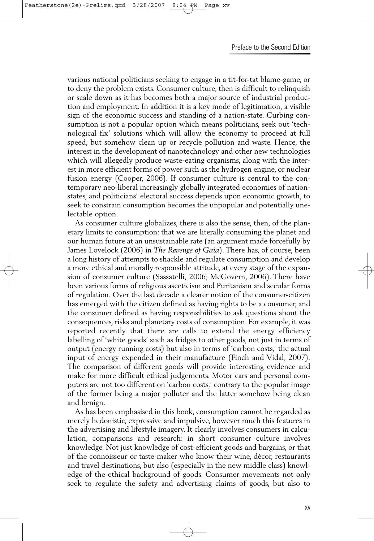various national politicians seeking to engage in a tit-for-tat blame-game, or to deny the problem exists. Consumer culture, then is difficult to relinquish or scale down as it has becomes both a major source of industrial production and employment. In addition it is a key mode of legitimation, a visible sign of the economic success and standing of a nation-state. Curbing consumption is not a popular option which means politicians, seek out 'technological fix' solutions which will allow the economy to proceed at full speed, but somehow clean up or recycle pollution and waste. Hence, the interest in the development of nanotechnology and other new technologies which will allegedly produce waste-eating organisms, along with the interest in more efficient forms of power such as the hydrogen engine, or nuclear fusion energy (Cooper, 2006). If consumer culture is central to the contemporary neo-liberal increasingly globally integrated economies of nationstates, and politicians' electoral success depends upon economic growth, to seek to constrain consumption becomes the unpopular and potentially unelectable option.

As consumer culture globalizes, there is also the sense, then, of the planetary limits to consumption: that we are literally consuming the planet and our human future at an unsustainable rate (an argument made forcefully by James Lovelock (2006) in *The Revenge of Gaia*). There has, of course, been a long history of attempts to shackle and regulate consumption and develop a more ethical and morally responsible attitude, at every stage of the expansion of consumer culture (Sassatelli, 2006; McGovern, 2006). There have been various forms of religious asceticism and Puritanism and secular forms of regulation. Over the last decade a clearer notion of the consumer-citizen has emerged with the citizen defined as having rights to be a consumer, and the consumer defined as having responsibilities to ask questions about the consequences, risks and planetary costs of consumption. For example, it was reported recently that there are calls to extend the energy efficiency labelling of 'white goods' such as fridges to other goods, not just in terms of output (energy running costs) but also in terms of 'carbon costs,' the actual input of energy expended in their manufacture (Finch and Vidal, 2007). The comparison of different goods will provide interesting evidence and make for more difficult ethical judgements. Motor cars and personal computers are not too different on 'carbon costs,' contrary to the popular image of the former being a major polluter and the latter somehow being clean and benign.

As has been emphasised in this book, consumption cannot be regarded as merely hedonistic, expressive and impulsive, however much this features in the advertising and lifestyle imagery. It clearly involves consumers in calculation, comparisons and research: in short consumer culture involves knowledge. Not just knowledge of cost-efficient goods and bargains, or that of the connoisseur or taste-maker who know their wine, décor, restaurants and travel destinations, but also (especially in the new middle class) knowledge of the ethical background of goods. Consumer movements not only seek to regulate the safety and advertising claims of goods, but also to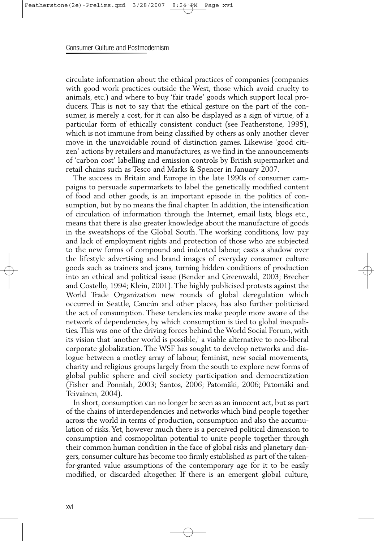circulate information about the ethical practices of companies (companies with good work practices outside the West, those which avoid cruelty to animals, etc.) and where to buy 'fair trade' goods which support local producers. This is not to say that the ethical gesture on the part of the consumer, is merely a cost, for it can also be displayed as a sign of virtue, of a particular form of ethically consistent conduct (see Featherstone, 1995), which is not immune from being classified by others as only another clever move in the unavoidable round of distinction games. Likewise 'good citizen' actions by retailers and manufactures, as we find in the announcements of 'carbon cost' labelling and emission controls by British supermarket and retail chains such as Tesco and Marks & Spencer in January 2007.

The success in Britain and Europe in the late 1990s of consumer campaigns to persuade supermarkets to label the genetically modified content of food and other goods, is an important episode in the politics of consumption, but by no means the final chapter. In addition, the intensification of circulation of information through the Internet, email lists, blogs etc., means that there is also greater knowledge about the manufacture of goods in the sweatshops of the Global South. The working conditions, low pay and lack of employment rights and protection of those who are subjected to the new forms of compound and indented labour, casts a shadow over the lifestyle advertising and brand images of everyday consumer culture goods such as trainers and jeans, turning hidden conditions of production into an ethical and political issue (Bender and Greenwald, 2003; Brecher and Costello, 1994; Klein, 2001). The highly publicised protests against the World Trade Organization new rounds of global deregulation which occurred in Seattle, Cancún and other places, has also further politicised the act of consumption. These tendencies make people more aware of the network of dependencies, by which consumption is tied to global inequalities. This was one of the driving forces behind the World Social Forum, with its vision that 'another world is possible,' a viable alternative to neo-liberal corporate globalization. The WSF has sought to develop networks and dialogue between a motley array of labour, feminist, new social movements, charity and religious groups largely from the south to explore new forms of global public sphere and civil society participation and democratization (Fisher and Ponniah, 2003; Santos, 2006; Patomäki, 2006; Patomäki and Teivainen, 2004).

In short, consumption can no longer be seen as an innocent act, but as part of the chains of interdependencies and networks which bind people together across the world in terms of production, consumption and also the accumulation of risks. Yet, however much there is a perceived political dimension to consumption and cosmopolitan potential to unite people together through their common human condition in the face of global risks and planetary dangers, consumer culture has become too firmly established as part of the takenfor-granted value assumptions of the contemporary age for it to be easily modified, or discarded altogether. If there is an emergent global culture,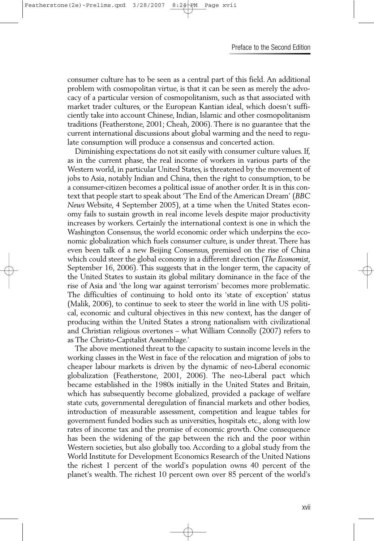consumer culture has to be seen as a central part of this field. An additional problem with cosmopolitan virtue, is that it can be seen as merely the advocacy of a particular version of cosmopolitanism, such as that associated with market trader cultures, or the European Kantian ideal, which doesn't sufficiently take into account Chinese, Indian, Islamic and other cosmopolitanism traditions (Featherstone, 2001; Cheah, 2006). There is no guarantee that the current international discussions about global warming and the need to regulate consumption will produce a consensus and concerted action.

Diminishing expectations do not sit easily with consumer culture values. If, as in the current phase, the real income of workers in various parts of the Western world, in particular United States, is threatened by the movement of jobs to Asia, notably Indian and China, then the right to consumption, to be a consumer-citizen becomes a political issue of another order. It is in this context that people start to speak about 'The End of the American Dream' (*BBC News* Website, 4 September 2005), at a time when the United States economy fails to sustain growth in real income levels despite major productivity increases by workers. Certainly the international context is one in which the Washington Consensus, the world economic order which underpins the economic globalization which fuels consumer culture, is under threat. There has even been talk of a new Beijing Consensus, premised on the rise of China which could steer the global economy in a different direction (*The Economist*, September 16, 2006). This suggests that in the longer term, the capacity of the United States to sustain its global military dominance in the face of the rise of Asia and 'the long war against terrorism' becomes more problematic. The difficulties of continuing to hold onto its 'state of exception' status (Malik, 2006), to continue to seek to steer the world in line with US political, economic and cultural objectives in this new context, has the danger of producing within the United States a strong nationalism with civilizational and Christian religious overtones – what William Connolly (2007) refers to as The Christo-Capitalist Assemblage.'

The above mentioned threat to the capacity to sustain income levels in the working classes in the West in face of the relocation and migration of jobs to cheaper labour markets is driven by the dynamic of neo-Liberal economic globalization (Featherstone, 2001, 2006). The neo-Liberal pact which became established in the 1980s initially in the United States and Britain, which has subsequently become globalized, provided a package of welfare state cuts, governmental deregulation of financial markets and other bodies, introduction of measurable assessment, competition and league tables for government funded bodies such as universities, hospitals etc., along with low rates of income tax and the promise of economic growth. One consequence has been the widening of the gap between the rich and the poor within Western societies, but also globally too. According to a global study from the World Institute for Development Economics Research of the United Nations the richest 1 percent of the world's population owns 40 percent of the planet's wealth. The richest 10 percent own over 85 percent of the world's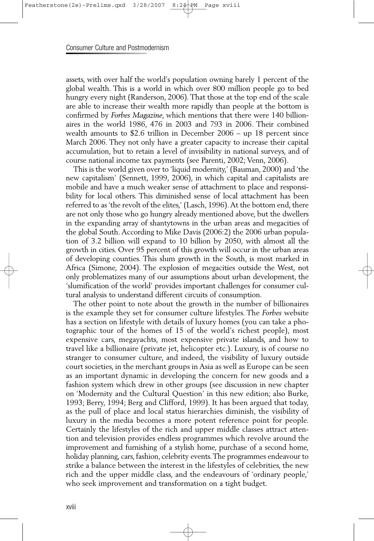assets, with over half the world's population owning barely 1 percent of the global wealth. This is a world in which over 800 million people go to bed hungry every night (Randerson, 2006). That those at the top end of the scale are able to increase their wealth more rapidly than people at the bottom is confirmed by *Forbes Magazine*, which mentions that there were 140 billionaires in the world 1986, 476 in 2003 and 793 in 2006. Their combined wealth amounts to \$2.6 trillion in December 2006 – up 18 percent since March 2006. They not only have a greater capacity to increase their capital accumulation, but to retain a level of invisibility in national surveys, and of course national income tax payments (see Parenti, 2002; Venn, 2006).

This is the world given over to 'liquid modernity,' (Bauman, 2000) and 'the new capitalism' (Sennett, 1999, 2006), in which capital and capitalists are mobile and have a much weaker sense of attachment to place and responsibility for local others. This diminished sense of local attachment has been referred to as 'the revolt of the elites,' (Lasch, 1996).At the bottom end, there are not only those who go hungry already mentioned above, but the dwellers in the expanding array of shantytowns in the urban areas and megacities of the global South. According to Mike Davis (2006:2) the 2006 urban population of 3.2 billion will expand to 10 billion by 2050, with almost all the growth in cities. Over 95 percent of this growth will occur in the urban areas of developing counties. This slum growth in the South, is most marked in Africa (Simone, 2004). The explosion of megacities outside the West, not only problematizes many of our assumptions about urban development, the 'slumification of the world' provides important challenges for consumer cultural analysis to understand different circuits of consumption.

The other point to note about the growth in the number of billionaires is the example they set for consumer culture lifestyles. The *Forbes* website has a section on lifestyle with details of luxury homes (you can take a photographic tour of the homes of 15 of the world's richest people), most expensive cars, megayachts, most expensive private islands, and how to travel like a billionaire (private jet, helicopter etc.). Luxury, is of course no stranger to consumer culture, and indeed, the visibility of luxury outside court societies, in the merchant groups in Asia as well as Europe can be seen as an important dynamic in developing the concern for new goods and a fashion system which drew in other groups (see discussion in new chapter on 'Modernity and the Cultural Question' in this new edition; also Burke, 1993; Berry, 1994; Berg and Clifford, 1999). It has been argued that today, as the pull of place and local status hierarchies diminish, the visibility of luxury in the media becomes a more potent reference point for people. Certainly the lifestyles of the rich and upper middle classes attract attention and television provides endless programmes which revolve around the improvement and furnishing of a stylish home, purchase of a second home, holiday planning, cars, fashion, celebrity events.The programmes endeavour to strike a balance between the interest in the lifestyles of celebrities, the new rich and the upper middle class, and the endeavours of 'ordinary people,' who seek improvement and transformation on a tight budget.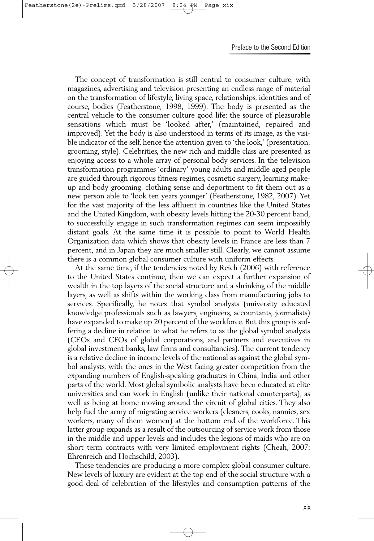The concept of transformation is still central to consumer culture, with magazines, advertising and television presenting an endless range of material on the transformation of lifestyle, living space, relationships, identities and of course, bodies (Featherstone, 1998, 1999). The body is presented as the central vehicle to the consumer culture good life: the source of pleasurable sensations which must be 'looked after,' (maintained, repaired and improved). Yet the body is also understood in terms of its image, as the visible indicator of the self, hence the attention given to 'the look,' (presentation, grooming, style). Celebrities, the new rich and middle class are presented as enjoying access to a whole array of personal body services. In the television transformation programmes 'ordinary' young adults and middle aged people are guided through rigorous fitness regimes, cosmetic surgery, learning makeup and body grooming, clothing sense and deportment to fit them out as a new person able to 'look ten years younger' (Featherstone, 1982, 2007). Yet for the vast majority of the less affluent in countries like the United States and the United Kingdom, with obesity levels hitting the 20-30 percent band, to successfully engage in such transformation regimes can seem impossibly distant goals. At the same time it is possible to point to World Health Organization data which shows that obesity levels in France are less than 7 percent, and in Japan they are much smaller still. Clearly, we cannot assume there is a common global consumer culture with uniform effects.

At the same time, if the tendencies noted by Reich (2006) with reference to the United States continue, then we can expect a further expansion of wealth in the top layers of the social structure and a shrinking of the middle layers, as well as shifts within the working class from manufacturing jobs to services. Specifically, he notes that symbol analysts (university educated knowledge professionals such as lawyers, engineers, accountants, journalists) have expanded to make up 20 percent of the workforce. But this group is suffering a decline in relation to what he refers to as the global symbol analysts (CEOs and CFOs of global corporations, and partners and executives in global investment banks, law firms and consultancies). The current tendency is a relative decline in income levels of the national as against the global symbol analysts, with the ones in the West facing greater competition from the expanding numbers of English-speaking graduates in China, India and other parts of the world. Most global symbolic analysts have been educated at elite universities and can work in English (unlike their national counterparts), as well as being at home moving around the circuit of global cities. They also help fuel the army of migrating service workers (cleaners, cooks, nannies, sex workers, many of them women) at the bottom end of the workforce. This latter group expands as a result of the outsourcing of service work from those in the middle and upper levels and includes the legions of maids who are on short term contracts with very limited employment rights (Cheah, 2007; Ehrenreich and Hochschild, 2003).

These tendencies are producing a more complex global consumer culture. New levels of luxury are evident at the top end of the social structure with a good deal of celebration of the lifestyles and consumption patterns of the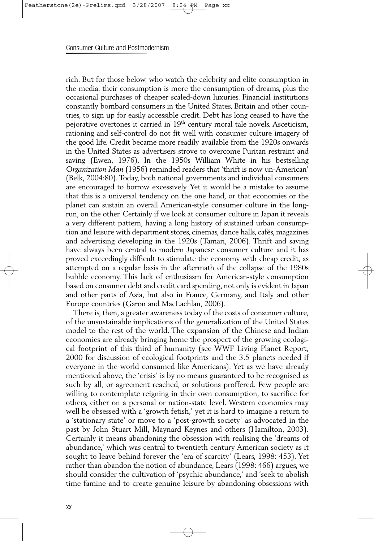rich. But for those below, who watch the celebrity and elite consumption in the media, their consumption is more the consumption of dreams, plus the occasional purchases of cheaper scaled-down luxuries. Financial institutions constantly bombard consumers in the United States, Britain and other countries, to sign up for easily accessible credit. Debt has long ceased to have the pejorative overtones it carried in 19<sup>th</sup> century moral tale novels. Asceticism, rationing and self-control do not fit well with consumer culture imagery of the good life. Credit became more readily available from the 1920s onwards in the United States as advertisers strove to overcome Puritan restraint and saving (Ewen, 1976). In the 1950s William White in his bestselling *Organization Man* (1956) reminded readers that 'thrift is now un-American' (Belk, 2004:80). Today, both national governments and individual consumers are encouraged to borrow excessively. Yet it would be a mistake to assume that this is a universal tendency on the one hand, or that economies or the planet can sustain an overall American-style consumer culture in the longrun, on the other. Certainly if we look at consumer culture in Japan it reveals a very different pattern, having a long history of sustained urban consumption and leisure with department stores, cinemas, dance halls, cafés, magazines and advertising developing in the 1920s (Tamari, 2006). Thrift and saving have always been central to modern Japanese consumer culture and it has proved exceedingly difficult to stimulate the economy with cheap credit, as attempted on a regular basis in the aftermath of the collapse of the 1980s bubble economy. This lack of enthusiasm for American-style consumption based on consumer debt and credit card spending, not only is evident in Japan and other parts of Asia, but also in France, Germany, and Italy and other Europe countries (Garon and MacLachlan, 2006).

There is, then, a greater awareness today of the costs of consumer culture, of the unsustainable implications of the generalization of the United States model to the rest of the world. The expansion of the Chinese and Indian economies are already bringing home the prospect of the growing ecological footprint of this third of humanity (see WWF Living Planet Report, 2000 for discussion of ecological footprints and the 3.5 planets needed if everyone in the world consumed like Americans). Yet as we have already mentioned above, the 'crisis' is by no means guaranteed to be recognised as such by all, or agreement reached, or solutions proffered. Few people are willing to contemplate reigning in their own consumption, to sacrifice for others, either on a personal or nation-state level. Western economies may well be obsessed with a 'growth fetish,' yet it is hard to imagine a return to a 'stationary state' or move to a 'post-growth society' as advocated in the past by John Stuart Mill, Maynard Keynes and others (Hamilton, 2003). Certainly it means abandoning the obsession with realising the 'dreams of abundance,' which was central to twentieth century American society as it sought to leave behind forever the 'era of scarcity' (Lears, 1998: 453). Yet rather than abandon the notion of abundance, Lears (1998: 466) argues, we should consider the cultivation of 'psychic abundance,' and 'seek to abolish time famine and to create genuine leisure by abandoning obsessions with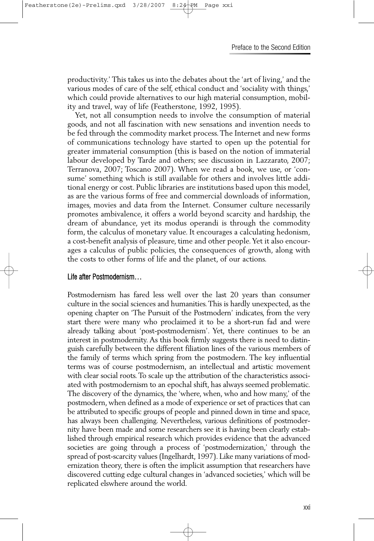productivity.' This takes us into the debates about the 'art of living,' and the various modes of care of the self, ethical conduct and 'sociality with things,' which could provide alternatives to our high material consumption, mobility and travel, way of life (Featherstone, 1992, 1995).

Yet, not all consumption needs to involve the consumption of material goods, and not all fascination with new sensations and invention needs to be fed through the commodity market process. The Internet and new forms of communications technology have started to open up the potential for greater immaterial consumption (this is based on the notion of immaterial labour developed by Tarde and others; see discussion in Lazzarato, 2007; Terranova, 2007; Toscano 2007). When we read a book, we use, or 'consume' something which is still available for others and involves little additional energy or cost. Public libraries are institutions based upon this model, as are the various forms of free and commercial downloads of information, images, movies and data from the Internet. Consumer culture necessarily promotes ambivalence, it offers a world beyond scarcity and hardship, the dream of abundance, yet its modus operandi is through the commodity form, the calculus of monetary value. It encourages a calculating hedonism, a cost-benefit analysis of pleasure, time and other people. Yet it also encourages a calculus of public policies, the consequences of growth, along with the costs to other forms of life and the planet, of our actions.

#### Life after Postmodernism…

Postmodernism has fared less well over the last 20 years than consumer culture in the social sciences and humanities.This is hardly unexpected, as the opening chapter on 'The Pursuit of the Postmodern' indicates, from the very start there were many who proclaimed it to be a short-run fad and were already talking about 'post-postmodernism'. Yet, there continues to be an interest in postmodernity. As this book firmly suggests there is need to distinguish carefully between the different filiation lines of the various members of the family of terms which spring from the postmodern. The key influential terms was of course postmodernism, an intellectual and artistic movement with clear social roots. To scale up the attribution of the characteristics associated with postmodernism to an epochal shift, has always seemed problematic. The discovery of the dynamics, the 'where, when, who and how many,' of the postmodern, when defined as a mode of experience or set of practices that can be attributed to specific groups of people and pinned down in time and space, has always been challenging. Nevertheless, various definitions of postmodernity have been made and some researchers see it is having been clearly established through empirical research which provides evidence that the advanced societies are going through a process of 'postmodernization,' through the spread of post-scarcity values (Ingelhardt, 1997). Like many variations of modernization theory, there is often the implicit assumption that researchers have discovered cutting edge cultural changes in 'advanced societies,' which will be replicated elswhere around the world.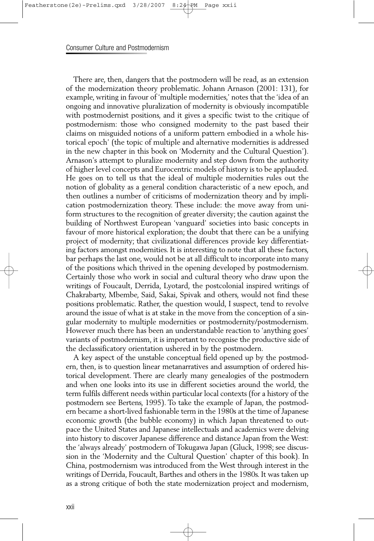There are, then, dangers that the postmodern will be read, as an extension of the modernization theory problematic. Johann Arnason (2001: 131), for example, writing in favour of 'multiple modernities,' notes that the 'idea of an ongoing and innovative pluralization of modernity is obviously incompatible with postmodernist positions, and it gives a specific twist to the critique of postmodernism: those who consigned modernity to the past based their claims on misguided notions of a uniform pattern embodied in a whole historical epoch' (the topic of multiple and alternative modernities is addressed in the new chapter in this book on 'Modernity and the Cultural Question'). Arnason's attempt to pluralize modernity and step down from the authority of higher level concepts and Eurocentric models of history is to be applauded. He goes on to tell us that the ideal of multiple modernities rules out the notion of globality as a general condition characteristic of a new epoch, and then outlines a number of criticisms of modernization theory and by implication postmodernization theory. These include: the move away from uniform structures to the recognition of greater diversity; the caution against the building of Northwest European 'vanguard' societies into basic concepts in favour of more historical exploration; the doubt that there can be a unifying project of modernity; that civilizational differences provide key differentiating factors amongst modernities. It is interesting to note that all these factors, bar perhaps the last one, would not be at all difficult to incorporate into many of the positions which thrived in the opening developed by postmodernism. Certainly those who work in social and cultural theory who draw upon the writings of Foucault, Derrida, Lyotard, the postcolonial inspired writings of Chakrabarty, Mbembe, Said, Sakai, Spivak and others, would not find these positions problematic. Rather, the question would, I suspect, tend to revolve around the issue of what is at stake in the move from the conception of a singular modernity to multiple modernities or postmodernity/postmodernism. However much there has been an understandable reaction to 'anything goes' variants of postmodernism, it is important to recognise the productive side of the declassificatory orientation ushered in by the postmodern.

A key aspect of the unstable conceptual field opened up by the postmodern, then, is to question linear metanarratives and assumption of ordered historical development. There are clearly many genealogies of the postmodern and when one looks into its use in different societies around the world, the term fulfils different needs within particular local contexts (for a history of the postmodern see Bertens, 1995). To take the example of Japan, the postmodern became a short-lived fashionable term in the 1980s at the time of Japanese economic growth (the bubble economy) in which Japan threatened to outpace the United States and Japanese intellectuals and academics were delving into history to discover Japanese difference and distance Japan from the West: the 'always already' postmodern of Tokugawa Japan (Gluck, 1998; see discussion in the 'Modernity and the Cultural Question' chapter of this book). In China, postmodernism was introduced from the West through interest in the writings of Derrida, Foucault, Barthes and others in the 1980s. It was taken up as a strong critique of both the state modernization project and modernism,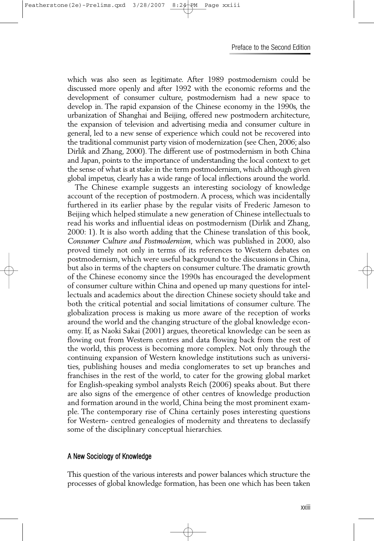which was also seen as legitimate. After 1989 postmodernism could be discussed more openly and after 1992 with the economic reforms and the development of consumer culture, postmodernism had a new space to develop in. The rapid expansion of the Chinese economy in the 1990s, the urbanization of Shanghai and Beijing, offered new postmodern architecture, the expansion of television and advertising media and consumer culture in general, led to a new sense of experience which could not be recovered into the traditional communist party vision of modernization (see Chen, 2006; also Dirlik and Zhang, 2000). The different use of postmodernism in both China and Japan, points to the importance of understanding the local context to get the sense of what is at stake in the term postmodernism, which although given global impetus, clearly has a wide range of local inflections around the world.

The Chinese example suggests an interesting sociology of knowledge account of the reception of postmodern. A process, which was incidentally furthered in its earlier phase by the regular visits of Frederic Jameson to Beijing which helped stimulate a new generation of Chinese intellectuals to read his works and influential ideas on postmodernism (Dirlik and Zhang, 2000: 1). It is also worth adding that the Chinese translation of this book, *Consumer Culture and Postmodernism,* which was published in 2000, also proved timely not only in terms of its references to Western debates on postmodernism, which were useful background to the discussions in China, but also in terms of the chapters on consumer culture. The dramatic growth of the Chinese economy since the 1990s has encouraged the development of consumer culture within China and opened up many questions for intellectuals and academics about the direction Chinese society should take and both the critical potential and social limitations of consumer culture. The globalization process is making us more aware of the reception of works around the world and the changing structure of the global knowledge economy. If, as Naoki Sakai (2001) argues, theoretical knowledge can be seen as flowing out from Western centres and data flowing back from the rest of the world, this process is becoming more complex. Not only through the continuing expansion of Western knowledge institutions such as universities, publishing houses and media conglomerates to set up branches and franchises in the rest of the world, to cater for the growing global market for English-speaking symbol analysts Reich (2006) speaks about. But there are also signs of the emergence of other centres of knowledge production and formation around in the world, China being the most prominent example. The contemporary rise of China certainly poses interesting questions for Western- centred genealogies of modernity and threatens to declassify some of the disciplinary conceptual hierarchies.

#### A New Sociology of Knowledge

This question of the various interests and power balances which structure the processes of global knowledge formation, has been one which has been taken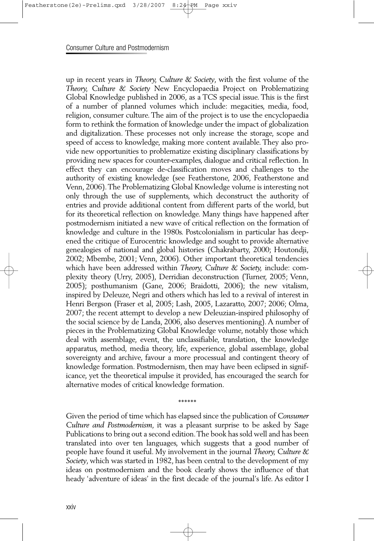up in recent years in *Theory, Culture & Society*, with the first volume of the *Theory, Culture & Society* New Encyclopaedia Project on Problematizing Global Knowledge published in 2006, as a TCS special issue. This is the first of a number of planned volumes which include: megacities, media, food, religion, consumer culture. The aim of the project is to use the encyclopaedia form to rethink the formation of knowledge under the impact of globalization and digitalization. These processes not only increase the storage, scope and speed of access to knowledge, making more content available. They also provide new opportunities to problematize existing disciplinary classifications by providing new spaces for counter-examples, dialogue and critical reflection. In effect they can encourage de-classification moves and challenges to the authority of existing knowledge (see Featherstone, 2006, Featherstone and Venn, 2006).The Problematizing Global Knowledge volume is interesting not only through the use of supplements, which deconstruct the authority of entries and provide additional content from different parts of the world, but for its theoretical reflection on knowledge. Many things have happened after postmodernism initiated a new wave of critical reflection on the formation of knowledge and culture in the 1980s. Postcolonialism in particular has deepened the critique of Eurocentric knowledge and sought to provide alternative genealogies of national and global histories (Chakrabarty, 2000; Houtondji, 2002; Mbembe, 2001; Venn, 2006). Other important theoretical tendencies which have been addressed within *Theory, Culture & Society,* include: complexity theory (Urry, 2005), Derridian deconstruction (Turner, 2005; Venn, 2005); posthumanism (Gane, 2006; Braidotti, 2006); the new vitalism, inspired by Deleuze, Negri and others which has led to a revival of interest in Henri Bergson (Fraser et al, 2005; Lash, 2005, Lazaratto, 2007; 2006; Olma, 2007; the recent attempt to develop a new Deleuzian-inspired philosophy of the social science by de Landa, 2006, also deserves mentioning). A number of pieces in the Problematizing Global Knowledge volume, notably those which deal with assemblage, event, the unclassifiable, translation, the knowledge apparatus, method, media theory, life, experience, global assemblage, global sovereignty and archive, favour a more processual and contingent theory of knowledge formation. Postmodernism, then may have been eclipsed in significance, yet the theoretical impulse it provided, has encouraged the search for alternative modes of critical knowledge formation.

Given the period of time which has elapsed since the publication of *Consumer Culture and Postmodernism,* it was a pleasant surprise to be asked by Sage Publications to bring out a second edition.The book has sold well and has been translated into over ten languages, which suggests that a good number of people have found it useful. My involvement in the journal *Theory, Culture & Society*, which was started in 1982, has been central to the development of my ideas on postmodernism and the book clearly shows the influence of that heady 'adventure of ideas' in the first decade of the journal's life. As editor I

\*\*\*\*\*\*